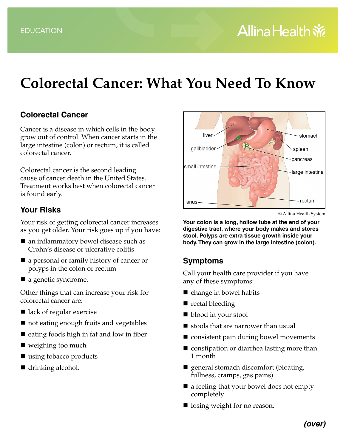# **Colorectal Cancer: What You Need To Know**

### **Colorectal Cancer**

Cancer is a disease in which cells in the body grow out of control. When cancer starts in the large intestine (colon) or rectum, it is called colorectal cancer.

Colorectal cancer is the second leading cause of cancer death in the United States. Treatment works best when colorectal cancer is found early.

#### **Your Risks**

Your risk of getting colorectal cancer increases as you get older. Your risk goes up if you have:

- an inflammatory bowel disease such as Crohn's disease or ulcerative colitis
- a personal or family history of cancer or polyps in the colon or rectum
- a genetic syndrome.

Other things that can increase your risk for colorectal cancer are:

- lack of regular exercise
- not eating enough fruits and vegetables
- $\blacksquare$  eating foods high in fat and low in fiber
- weighing too much
- using tobacco products
- drinking alcohol.



© Allina Health System

**Your colon is a long, hollow tube at the end of your digestive tract, where your body makes and stores stool. Polyps are extra tissue growth inside your body. They can grow in the large intestine (colon).**

#### **Symptoms**

Call your health care provider if you have any of these symptoms:

- change in bowel habits
- rectal bleeding
- blood in your stool
- stools that are narrower than usual
- consistent pain during bowel movements
- constipation or diarrhea lasting more than 1 month
- **E** general stomach discomfort (bloating, fullness, cramps, gas pains)
- a feeling that your bowel does not empty completely
- losing weight for no reason.